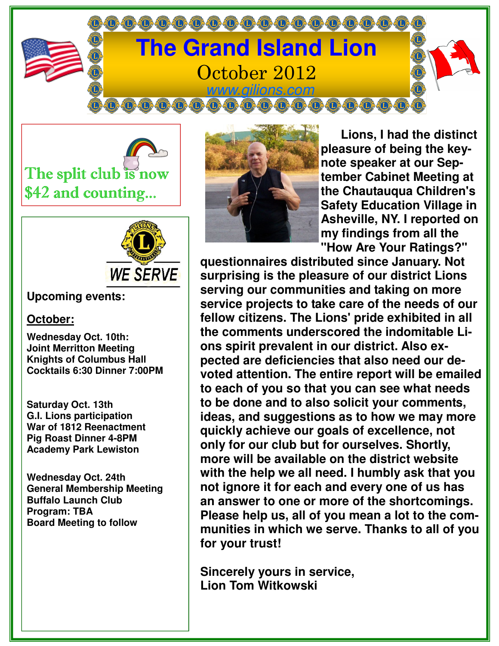

The split club is now \$42 and counting...



## **Upcoming events:**

## **October:**

**Wednesday Oct. 10th: Joint Merritton Meeting Knights of Columbus Hall Cocktails 6:30 Dinner 7:00PM** 

**Saturday Oct. 13th G.I. Lions participation War of 1812 Reenactment Pig Roast Dinner 4-8PM Academy Park Lewiston** 

**Wednesday Oct. 24th General Membership Meeting Buffalo Launch Club Program: TBA Board Meeting to follow** 



 **Lions, I had the distinct pleasure of being the keynote speaker at our September Cabinet Meeting at the Chautauqua Children's Safety Education Village in Asheville, NY. I reported on my findings from all the "How Are Your Ratings?"** 

**questionnaires distributed since January. Not surprising is the pleasure of our district Lions serving our communities and taking on more service projects to take care of the needs of our fellow citizens. The Lions' pride exhibited in all the comments underscored the indomitable Lions spirit prevalent in our district. Also expected are deficiencies that also need our devoted attention. The entire report will be emailed to each of you so that you can see what needs to be done and to also solicit your comments, ideas, and suggestions as to how we may more quickly achieve our goals of excellence, not only for our club but for ourselves. Shortly, more will be available on the district website with the help we all need. I humbly ask that you not ignore it for each and every one of us has an answer to one or more of the shortcomings. Please help us, all of you mean a lot to the communities in which we serve. Thanks to all of you for your trust!** 

**Sincerely yours in service, Lion Tom Witkowski**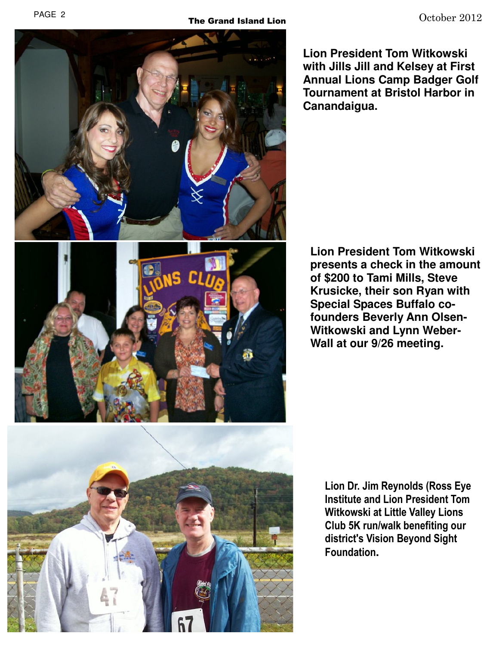

**Lion President Tom Witkowski with Jills Jill and Kelsey at First Annual Lions Camp Badger Golf Tournament at Bristol Harbor in Canandaigua.** 

**Lion President Tom Witkowski presents a check in the amount of \$200 to Tami Mills, Steve Krusicke, their son Ryan with Special Spaces Buffalo cofounders Beverly Ann Olsen-Witkowski and Lynn Weber-Wall at our 9/26 meeting.** 

Lion Dr. Jim Reynolds (Ross Eye Institute and Lion President Tom Witkowski at Little Valley Lions Club 5K run/walk benefiting our district's Vision Beyond Sight Foundation**.**